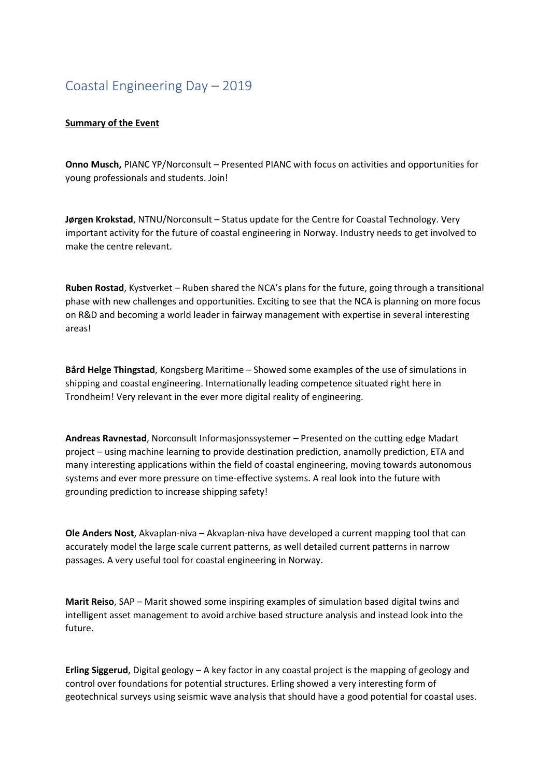## Coastal Engineering Day – 2019

## **Summary of the Event**

**Onno Musch,** PIANC YP/Norconsult – Presented PIANC with focus on activities and opportunities for young professionals and students. Join!

**Jørgen Krokstad**, NTNU/Norconsult – Status update for the Centre for Coastal Technology. Very important activity for the future of coastal engineering in Norway. Industry needs to get involved to make the centre relevant.

**Ruben Rostad**, Kystverket – Ruben shared the NCA's plans for the future, going through a transitional phase with new challenges and opportunities. Exciting to see that the NCA is planning on more focus on R&D and becoming a world leader in fairway management with expertise in several interesting areas!

**Bård Helge Thingstad**, Kongsberg Maritime – Showed some examples of the use of simulations in shipping and coastal engineering. Internationally leading competence situated right here in Trondheim! Very relevant in the ever more digital reality of engineering.

**Andreas Ravnestad**, Norconsult Informasjonssystemer – Presented on the cutting edge Madart project – using machine learning to provide destination prediction, anamolly prediction, ETA and many interesting applications within the field of coastal engineering, moving towards autonomous systems and ever more pressure on time-effective systems. A real look into the future with grounding prediction to increase shipping safety!

**Ole Anders Nost**, Akvaplan-niva – Akvaplan-niva have developed a current mapping tool that can accurately model the large scale current patterns, as well detailed current patterns in narrow passages. A very useful tool for coastal engineering in Norway.

**Marit Reiso**, SAP – Marit showed some inspiring examples of simulation based digital twins and intelligent asset management to avoid archive based structure analysis and instead look into the future.

**Erling Siggerud**, Digital geology – A key factor in any coastal project is the mapping of geology and control over foundations for potential structures. Erling showed a very interesting form of geotechnical surveys using seismic wave analysis that should have a good potential for coastal uses.